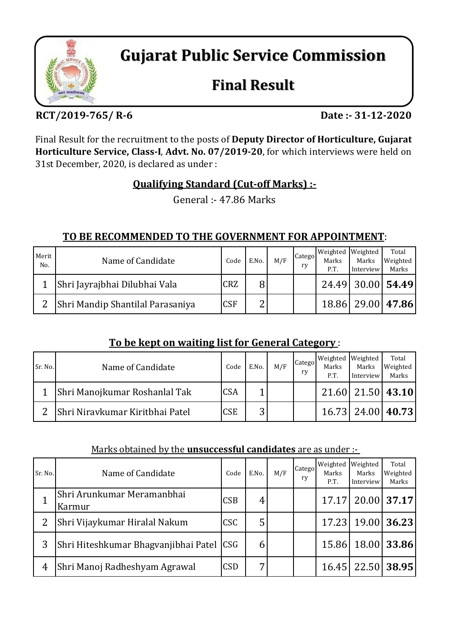

**Gujarat Public Service Commission**

# **Final Result**

# **RCT/2019‐765/ R‐6 Date :‐ 31‐12‐2020**

Final Result for the recruitment to the posts of **Deputy Director of Horticulture, Gujarat Horticulture Service, Class‐I**, **Advt. No. 07/2019‐20**, for which interviews were held on 31st December, 2020, is declared as under :

# **Qualifying Standard (Cut‐off Marks) :‐**

General :- 47.86 Marks

#### **TO BE RECOMMENDED TO THE GOVERNMENT FOR APPOINTMENT**:

| Merit<br>No. | Name of Candidate                | Code       | E.No.  | M/F | Catego<br>rv | Marks<br>P.T. | Weighted Weighted<br>Marks<br>Interview | Total<br>Weighted<br>Marks |
|--------------|----------------------------------|------------|--------|-----|--------------|---------------|-----------------------------------------|----------------------------|
|              | Shri Jayrajbhai Dilubhai Vala    | <b>CRZ</b> | 8      |     |              |               |                                         | 24.49 30.00 54.49          |
|              | Shri Mandip Shantilal Parasaniya | <b>CSF</b> | ◠<br>↩ |     |              |               |                                         | 18.86 29.00 47.86          |

# **To be kept on waiting list for General Category** :

| Sr. No. | Name of Candidate               | Code       | E.No.  | M/F | Catego<br>rv | Marks<br>P.T. | Weighted Weighted<br>Marks<br>Interview | Total<br>Weighted<br>Marks |
|---------|---------------------------------|------------|--------|-----|--------------|---------------|-----------------------------------------|----------------------------|
|         | Shri Manojkumar Roshanlal Tak   | <b>CSA</b> |        |     |              |               |                                         | 21.60 21.50 43.10          |
| ◠       | Shri Niravkumar Kiritbhai Patel | <b>CSE</b> | 2<br>ت |     |              |               |                                         | 16.73 24.00 40.73          |

#### Marks obtained by the **unsuccessful candidates** are as under :-

| Sr. No. | Name of Candidate                    | Code       | E.No. | M/F | Catego<br>ry | Weighted<br>Marks<br>P.T. | Weighted<br>Marks<br>Interview | Total<br>Weighted<br>Marks |
|---------|--------------------------------------|------------|-------|-----|--------------|---------------------------|--------------------------------|----------------------------|
|         | Shri Arunkumar Meramanbhai<br>Karmur | CSB        | 4     |     |              | 17.17                     |                                | 20.00 37.17                |
|         | Shri Vijaykumar Hiralal Nakum        | CSC        | 5     |     |              |                           |                                | 17.23 19.00 36.23          |
| 3       | Shri Hiteshkumar Bhagyanjibhai Patel | <b>CSG</b> | b     |     |              | 15.86                     |                                | 18.00 33.86                |
| 4       | Shri Manoj Radheshyam Agrawal        | CSD        | −     |     |              | 16.45                     |                                | 22.50 38.95                |